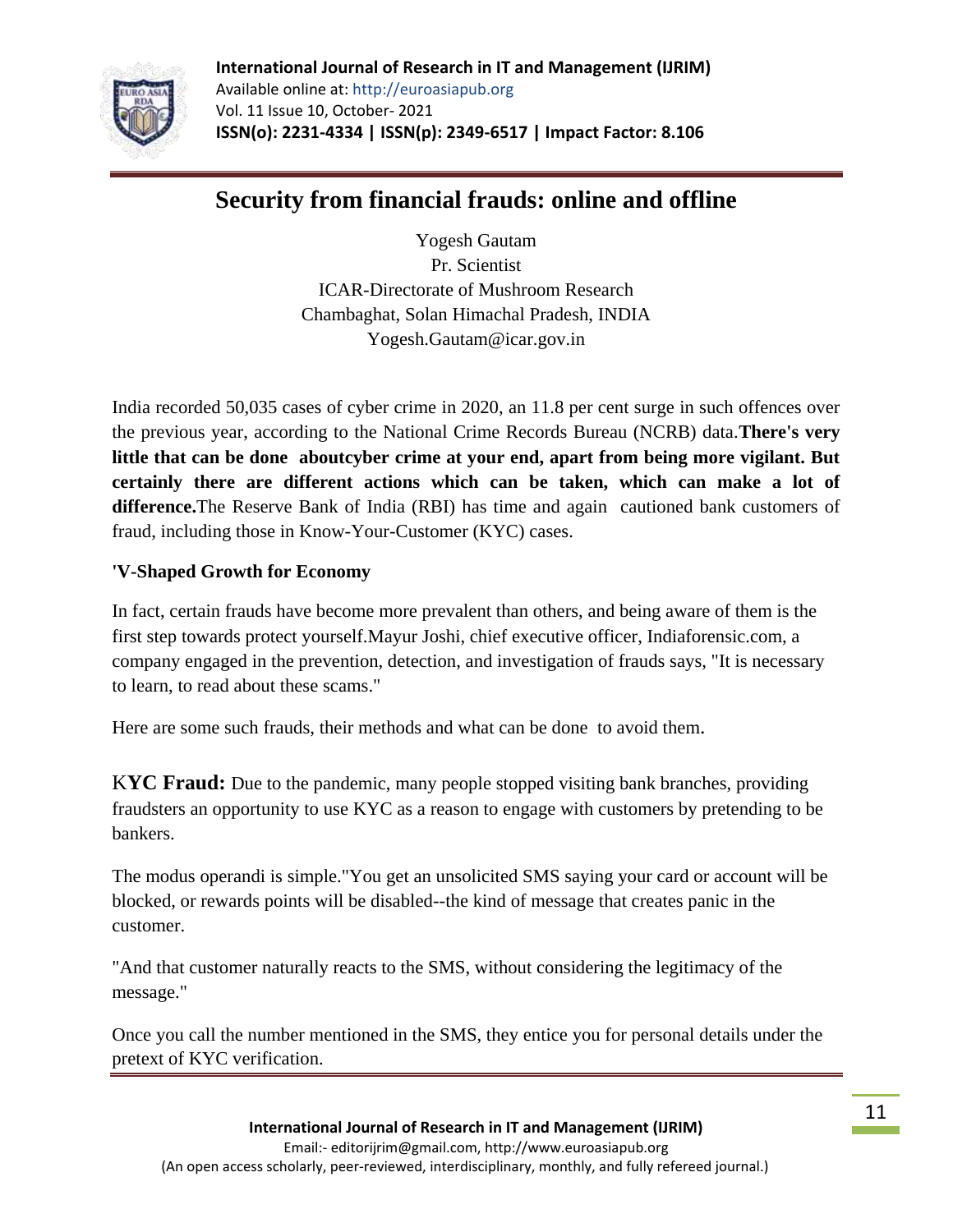

**International Journal of Research in IT and Management (IJRIM)** Available online at: http://euroasiapub.org Vol. 11 Issue 10, October- 2021 **ISSN(o): 2231-4334 | ISSN(p): 2349-6517 | Impact Factor: 8.106**

# **Security from financial frauds: online and offline**

Yogesh Gautam Pr. Scientist ICAR-Directorate of Mushroom Research Chambaghat, Solan Himachal Pradesh, INDIA Yogesh.Gautam@icar.gov.in

India recorded 50,035 cases of cyber crime in 2020, an 11.8 per cent surge in such offences over the previous year, according to the National Crime Records Bureau (NCRB) data.**There's very little that can be done aboutcyber crime at your end, apart from being more vigilant. But certainly there are different actions which can be taken, which can make a lot of difference.**The Reserve Bank of India (RBI) has time and again cautioned bank customers of fraud, including those in Know-Your-Customer (KYC) cases.

### **['V-Shaped Growth for Economy](https://www.rediff.com/business/interview/krishnamurty-subramanian-v-shaped-growth-for-economy/20210914.htm)**

In fact, certain frauds have become more prevalent than others, and being aware of them is the first step towards protect yourself.Mayur Joshi, chief executive officer, Indiaforensic.com, a company engaged in the prevention, detection, and investigation of frauds says, "It is necessary to learn, to read about these scams."

Here are some such frauds, their methods and what can be done to avoid them.

K**YC Fraud:** Due to the pandemic, many people stopped visiting bank branches, providing fraudsters an opportunity to use KYC as a reason to engage with customers by pretending to be bankers.

The modus operandi is simple."You get an unsolicited SMS saying your card or account will be blocked, or rewards points will be disabled--the kind of message that creates panic in the customer.

"And that customer naturally reacts to the SMS, without considering the legitimacy of the message."

Once you call the number mentioned in the SMS, they entice you for personal details under the pretext of KYC verification.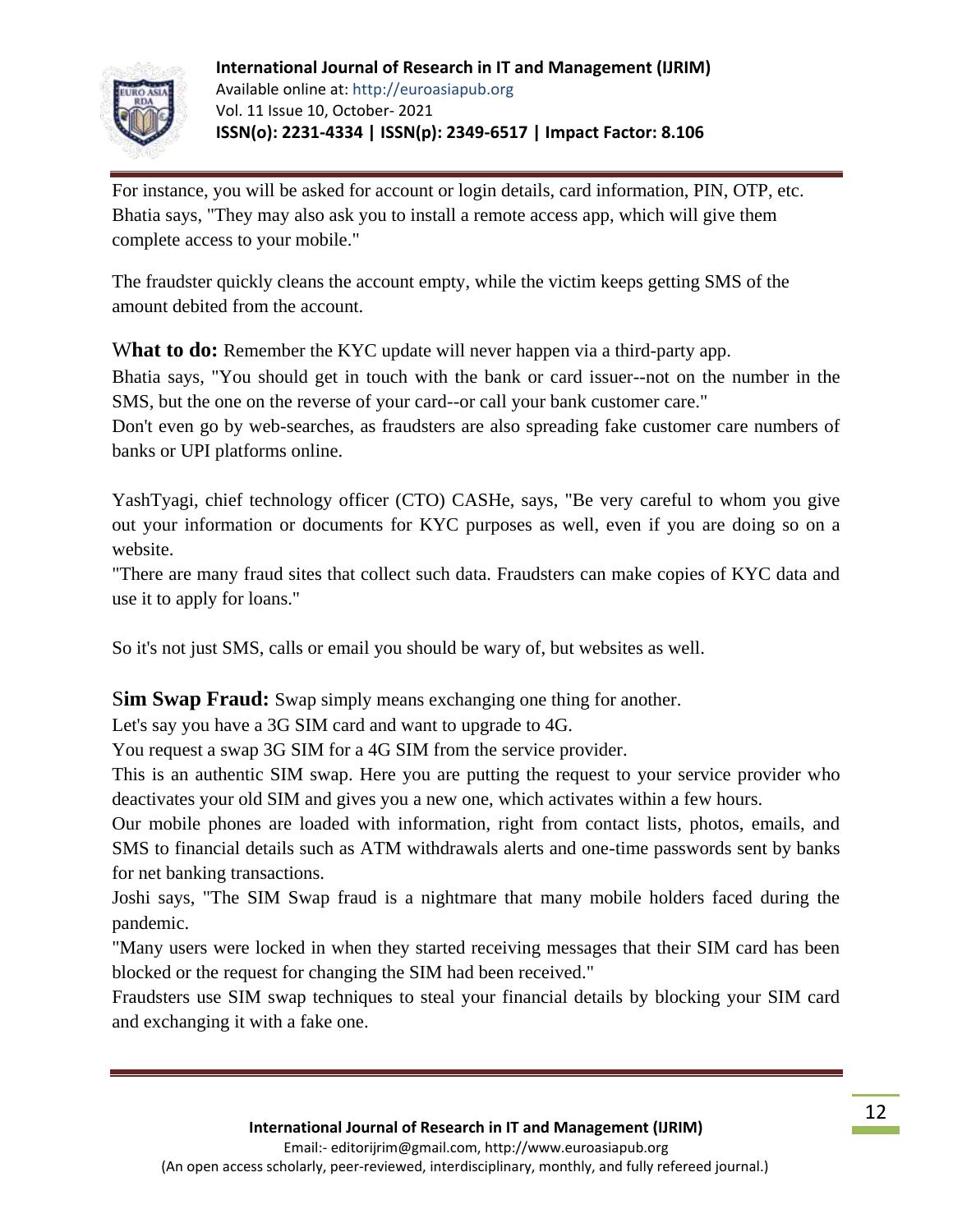

For instance, you will be asked for account or login details, card information, PIN, OTP, etc. Bhatia says, "They may also ask you to install a remote access app, which will give them complete access to your mobile."

The fraudster quickly cleans the account empty, while the victim keeps getting SMS of the amount debited from the account.

What to do: Remember the KYC update will never happen via a third-party app.

Bhatia says, "You should get in touch with the bank or card issuer--not on the number in the SMS, but the one on the reverse of your card--or call your bank customer care."

Don't even go by web-searches, as fraudsters are also spreading fake customer care numbers of banks or UPI platforms online.

YashTyagi, chief technology officer (CTO) CASHe, says, "Be very careful to whom you give out your information or documents for KYC purposes as well, even if you are doing so on a website.

"There are many fraud sites that collect such data. Fraudsters can make copies of KYC data and use it to apply for loans."

So it's not just SMS, calls or email you should be wary of, but websites as well.

S**im Swap Fraud:** Swap simply means exchanging one thing for another.

Let's say you have a 3G SIM card and want to upgrade to 4G.

You request a swap 3G SIM for a 4G SIM from the service provider.

This is an authentic SIM swap. Here you are putting the request to your service provider who deactivates your old SIM and gives you a new one, which activates within a few hours.

Our mobile phones are loaded with information, right from contact lists, photos, emails, and SMS to financial details such as ATM withdrawals alerts and one-time passwords sent by banks for net banking transactions.

Joshi says, "The SIM Swap fraud is a nightmare that many mobile holders faced during the pandemic.

"Many users were locked in when they started receiving messages that their SIM card has been blocked or the request for changing the SIM had been received."

Fraudsters use SIM swap techniques to steal your financial details by blocking your SIM card and exchanging it with a fake one.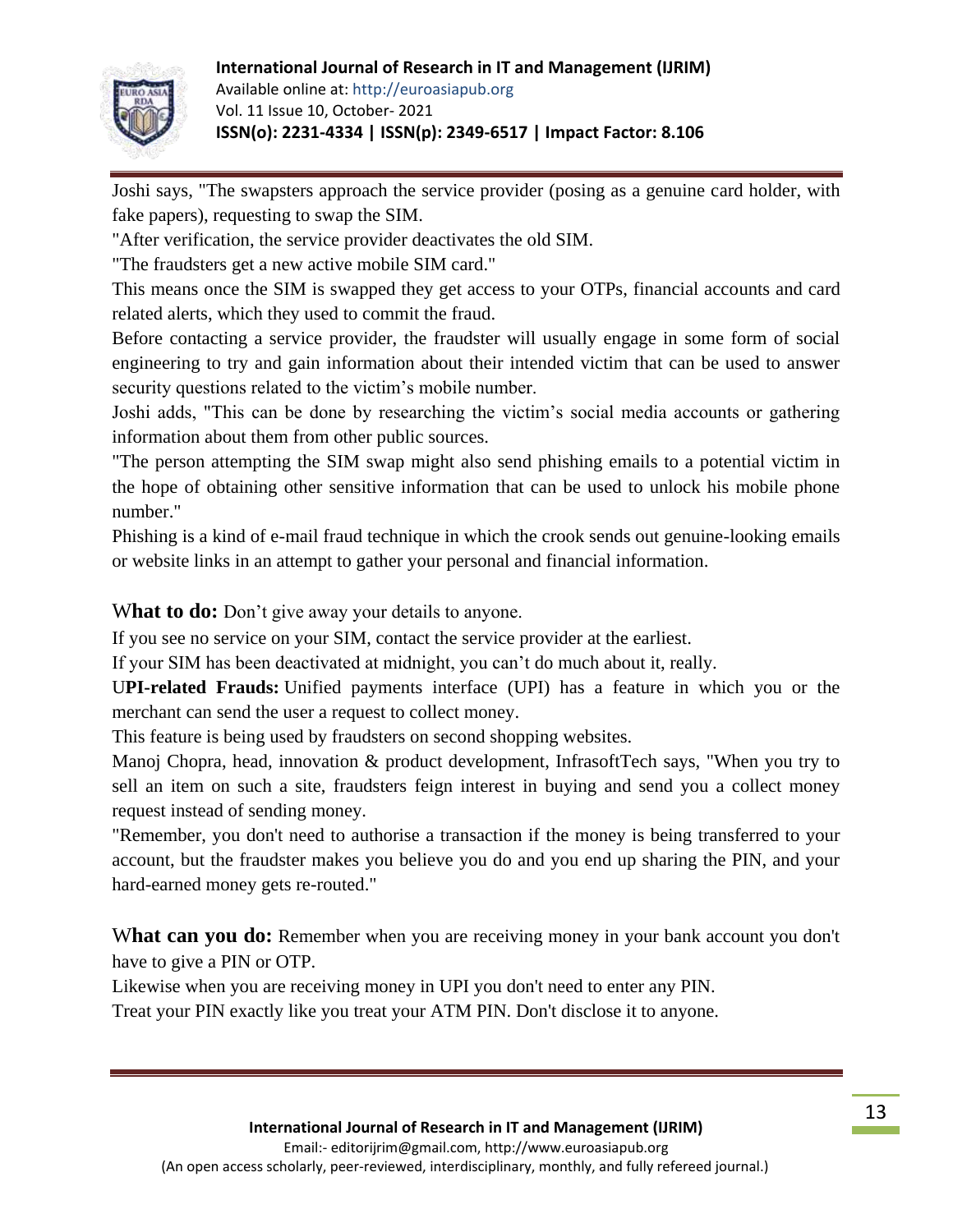### **International Journal of Research in IT and Management (IJRIM)**



Available online at: http://euroasiapub.org Vol. 11 Issue 10, October- 2021 **ISSN(o): 2231-4334 | ISSN(p): 2349-6517 | Impact Factor: 8.106**

Joshi says, "The swapsters approach the service provider (posing as a genuine card holder, with fake papers), requesting to swap the SIM.

"After verification, the service provider deactivates the old SIM.

"The fraudsters get a new active mobile SIM card."

This means once the SIM is swapped they get access to your OTPs, financial accounts and card related alerts, which they used to commit the fraud.

Before contacting a service provider, the fraudster will usually engage in some form of social engineering to try and gain information about their intended victim that can be used to answer security questions related to the victim's mobile number.

Joshi adds, "This can be done by researching the victim's social media accounts or gathering information about them from other public sources.

"The person attempting the SIM swap might also send phishing emails to a potential victim in the hope of obtaining other sensitive information that can be used to unlock his mobile phone number."

Phishing is a kind of e-mail fraud technique in which the crook sends out genuine-looking emails or website links in an attempt to gather your personal and financial information.

What to do: Don't give away your details to anyone.

If you see no service on your SIM, contact the service provider at the earliest.

If your SIM has been deactivated at midnight, you can't do much about it, really.

U**PI-related Frauds:** Unified payments interface (UPI) has a feature in which you or the merchant can send the user a request to collect money.

This feature is being used by fraudsters on second shopping websites.

Manoj Chopra, head, innovation & product development, InfrasoftTech says, "When you try to sell an item on such a site, fraudsters feign interest in buying and send you a collect money request instead of sending money.

"Remember, you don't need to authorise a transaction if the money is being transferred to your account, but the fraudster makes you believe you do and you end up sharing the PIN, and your hard-earned money gets re-routed."

What can you do: Remember when you are receiving money in your bank account you don't have to give a PIN or OTP.

Likewise when you are receiving money in UPI you don't need to enter any PIN.

Treat your PIN exactly like you treat your ATM PIN. Don't disclose it to anyone.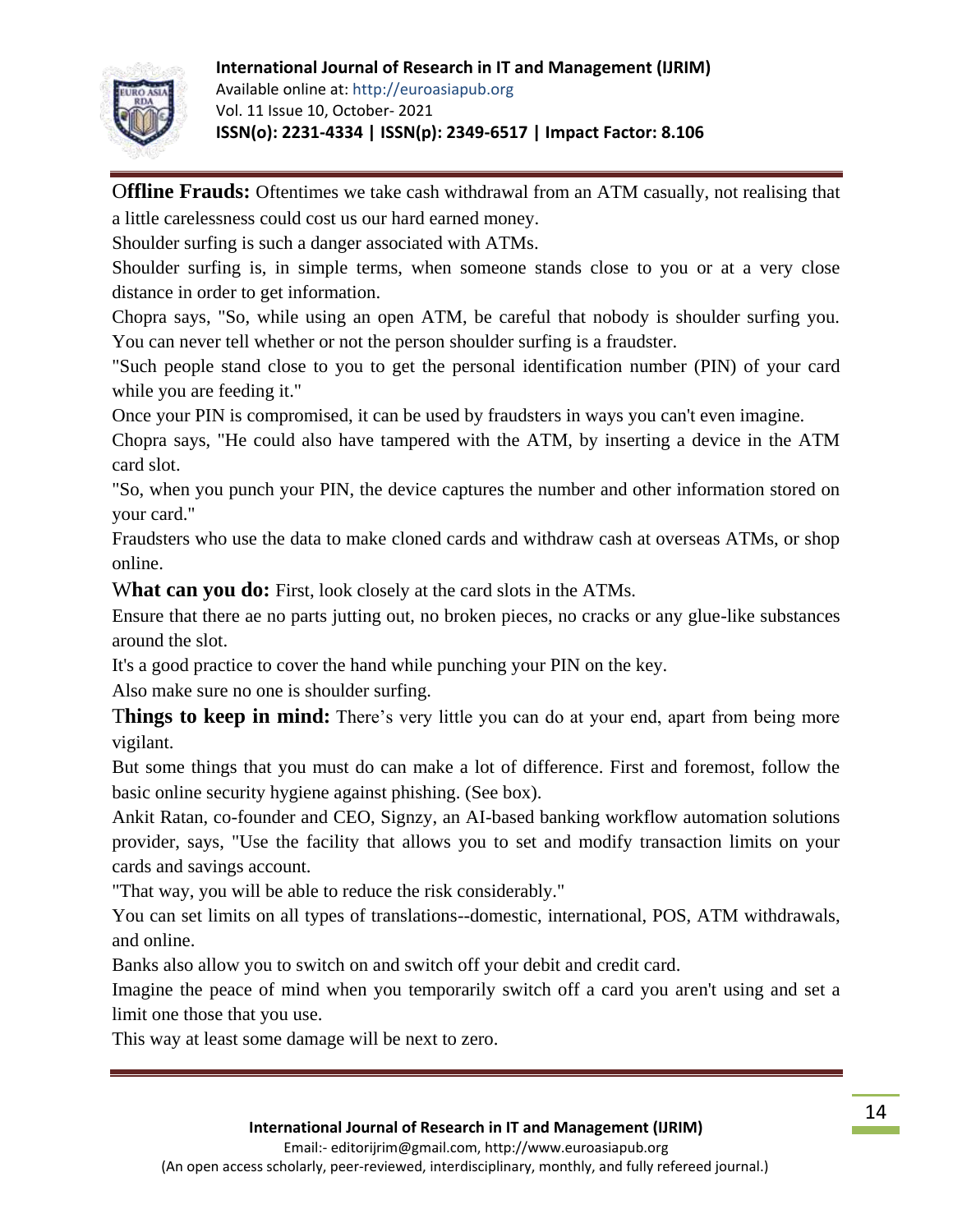### **International Journal of Research in IT and Management (IJRIM)**



Available online at: http://euroasiapub.org Vol. 11 Issue 10, October- 2021 **ISSN(o): 2231-4334 | ISSN(p): 2349-6517 | Impact Factor: 8.106**

O**ffline Frauds:** Oftentimes we take cash withdrawal from an ATM casually, not realising that a little carelessness could cost us our hard earned money.

Shoulder surfing is such a danger associated with ATMs.

Shoulder surfing is, in simple terms, when someone stands close to you or at a very close distance in order to get information.

Chopra says, "So, while using an open ATM, be careful that nobody is shoulder surfing you. You can never tell whether or not the person shoulder surfing is a fraudster.

"Such people stand close to you to get the personal identification number (PIN) of your card while you are feeding it."

Once your PIN is compromised, it can be used by fraudsters in ways you can't even imagine.

Chopra says, "He could also have tampered with the ATM, by inserting a device in the ATM card slot.

"So, when you punch your PIN, the device captures the number and other information stored on your card."

Fraudsters who use the data to make cloned cards and withdraw cash at overseas ATMs, or shop online.

What can you do: First, look closely at the card slots in the ATMs.

Ensure that there ae no parts jutting out, no broken pieces, no cracks or any glue-like substances around the slot.

It's a good practice to cover the hand while punching your PIN on the key.

Also make sure no one is shoulder surfing.

T**hings to keep in mind:** There's very little you can do at your end, apart from being more vigilant.

But some things that you must do can make a lot of difference. First and foremost, follow the basic online security hygiene against phishing. (See box).

Ankit Ratan, co-founder and CEO, Signzy, an AI-based banking workflow automation solutions provider, says, "Use the facility that allows you to set and modify transaction limits on your cards and savings account.

"That way, you will be able to reduce the risk considerably."

You can set limits on all types of translations--domestic, international, POS, ATM withdrawals, and online.

Banks also allow you to switch on and switch off your debit and credit card.

Imagine the peace of mind when you temporarily switch off a card you aren't using and set a limit one those that you use.

This way at least some damage will be next to zero.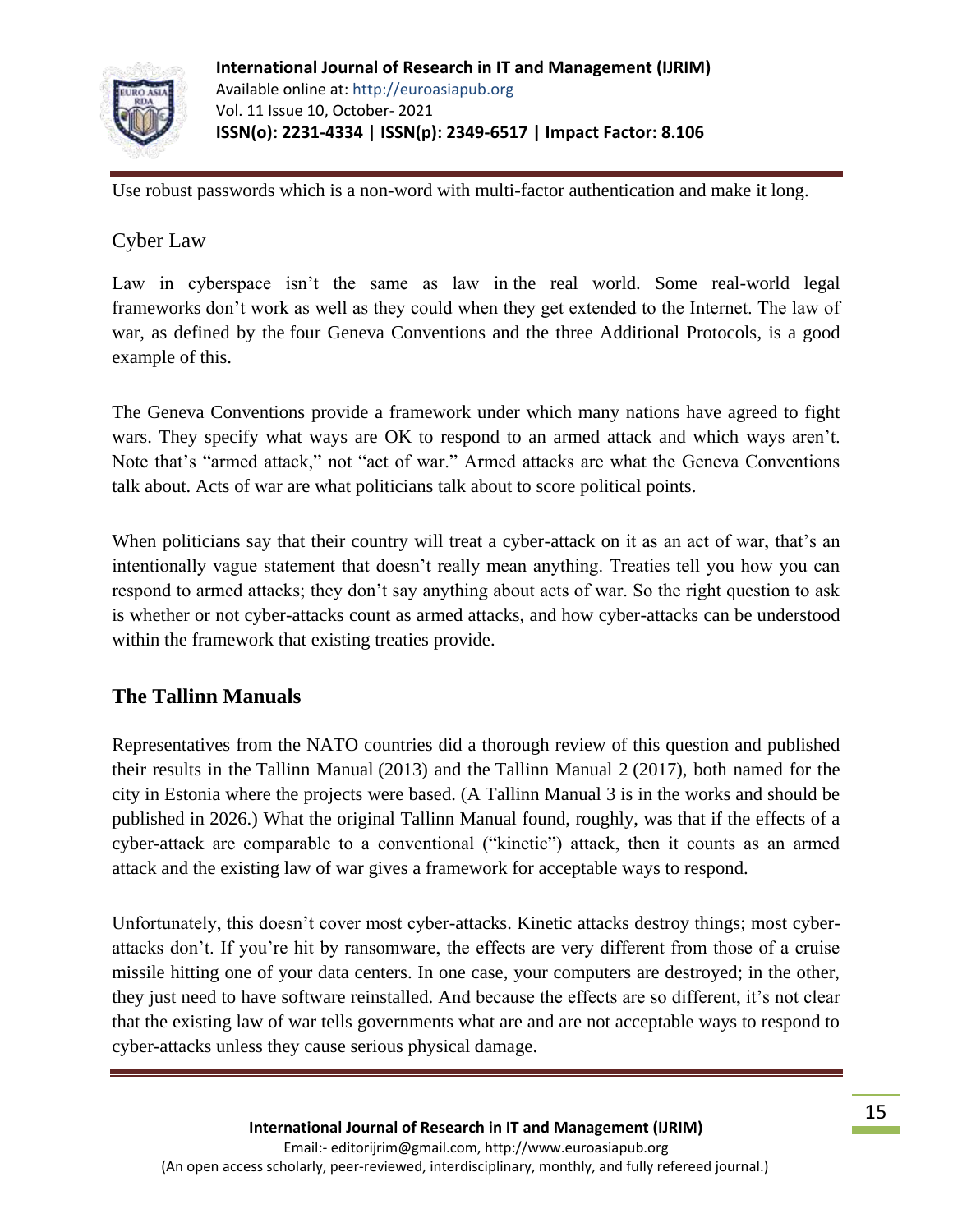

Use robust passwords which is a non-word with multi-factor authentication and make it long.

# Cyber Law

Law in cyberspace isn't the same as law in the real world. Some real-world legal frameworks don't work as well as they could when they get extended to the Internet. The law of war, as defined by the [four Geneva Conventions and the three Additional Protocols,](https://www.law.cornell.edu/wex/geneva_conventions_and_their_additional_protocols) is a good example of this.

The Geneva Conventions provide a framework under which many nations have agreed to fight wars. They specify what ways are OK to respond to an armed attack and which ways aren't. Note that's "armed attack," not "act of war." Armed attacks are what the Geneva Conventions talk about. Acts of war are what politicians talk about to score political points.

When politicians say that their country will treat a cyber-attack on it as an act of war, that's an intentionally vague statement that doesn't really mean anything. Treaties tell you how you can respond to armed attacks; they don't say anything about acts of war. So the right question to ask is whether or not cyber-attacks count as armed attacks, and how cyber-attacks can be understood within the framework that existing treaties provide.

# **The Tallinn Manuals**

Representatives from the NATO countries did a thorough review of this question and published their results in the [Tallinn Manual](https://ccdcoe.org/research/tallinn-manual/) (2013) and the [Tallinn Manual 2](https://www.cambridge.org/core/books/tallinn-manual-20-on-the-international-law-applicable-to-cyber-operations/E4FFD83EA790D7C4C3C28FC9CA2FB6C9) (2017), both named for the city in Estonia where the projects were based. (A Tallinn Manual 3 is in the works and should be published in 2026.) What the original Tallinn Manual found, roughly, was that if the effects of a cyber-attack are comparable to a conventional ("kinetic") attack, then it counts as an armed attack and the existing law of war gives a framework for acceptable ways to respond.

Unfortunately, this doesn't cover most cyber-attacks. Kinetic attacks destroy things; most cyberattacks don't. If you're hit by ransomware, the effects are very different from those of a cruise missile hitting one of your data centers. In one case, your computers are destroyed; in the other, they just need to have software reinstalled. And because the effects are so different, it's not clear that the existing law of war tells governments what are and are not acceptable ways to respond to cyber-attacks unless they cause serious physical damage.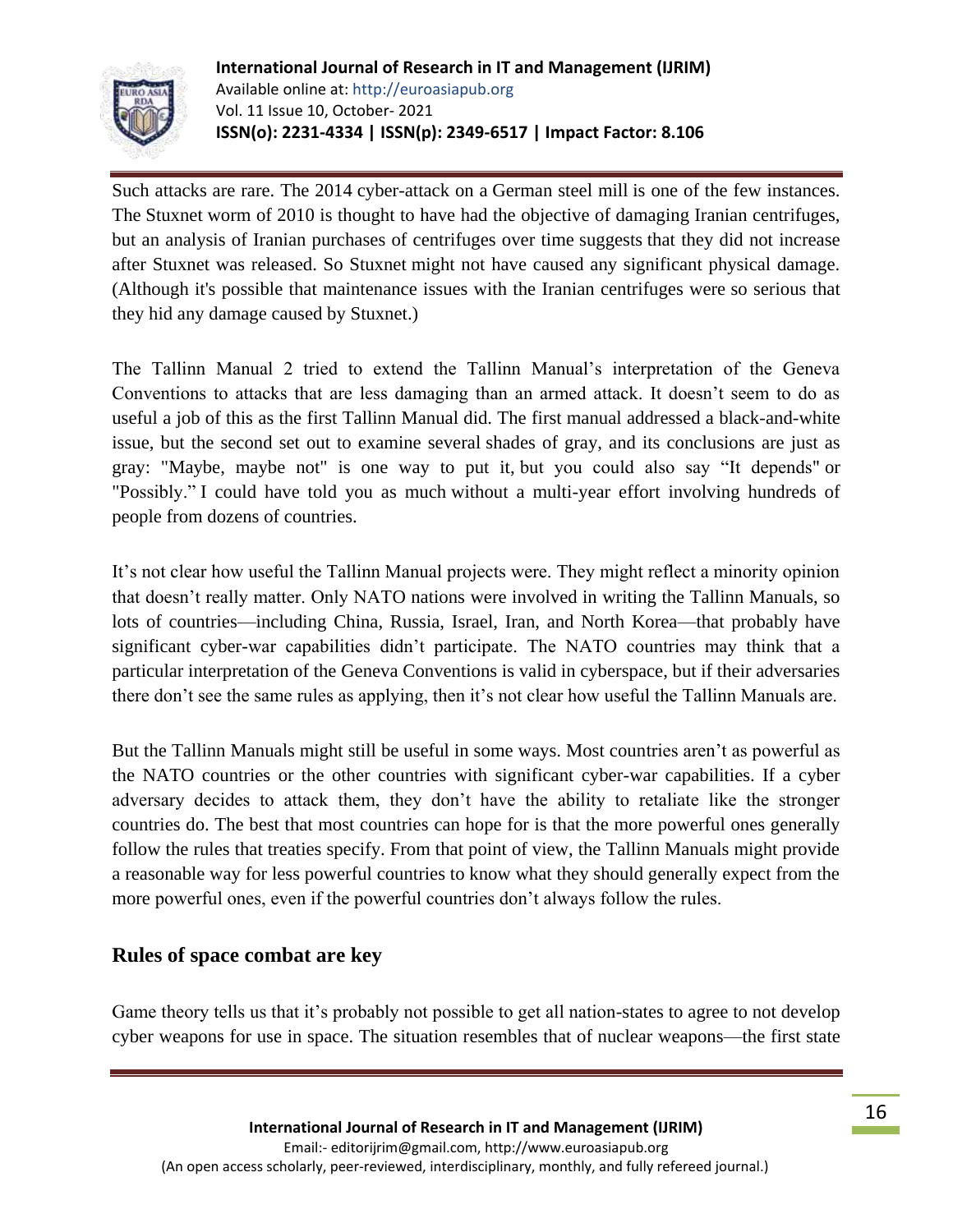

Such attacks are rare. The 2014 cyber-attack on a [German steel mill](https://www.pbs.org/wgbh/nova/article/cyber-attack-german-steel-mill-leads-massive-real-world-damage/) is one of the few instances. The [Stuxnet](https://en.wikipedia.org/wiki/Stuxnet) worm of 2010 is thought to have had the objective of damaging Iranian centrifuges, but an analysis of Iranian purchases of centrifuges over time [suggests](https://www.csmonitor.com/Commentary/Opinion/2010/1208/Chief-obstacle-to-Iran-s-nuclear-effort-its-own-bad-technology) that they did not increase after Stuxnet was released. So Stuxnet might not have caused any significant physical damage. (Although it's possible that maintenance issues with the Iranian centrifuges were so serious that they hid any damage caused by Stuxnet.)

The Tallinn Manual 2 tried to extend the Tallinn Manual's interpretation of the Geneva Conventions to attacks that are less damaging than an armed attack. It doesn't seem to do as useful a job of this as the first Tallinn Manual did. The first manual addressed a black-and-white issue, but the second set out to examine several shades of gray, and its conclusions are just as gray: "Maybe, maybe not" is one way to put it, but you could also say "It depends" or "Possibly." I could have told you as much without a multi-year effort involving hundreds of people from dozens of countries.

It's not clear how useful the Tallinn Manual projects were. They might reflect a minority opinion that doesn't really matter. Only NATO nations were involved in writing the Tallinn Manuals, so lots of countries—including China, Russia, Israel, Iran, and North Korea—that probably have significant cyber-war capabilities didn't participate. The NATO countries may think that a particular interpretation of the Geneva Conventions is valid in cyberspace, but if their adversaries there don't see the same rules as applying, then it's not clear how useful the Tallinn Manuals are.

But the Tallinn Manuals might still be useful in some ways. Most countries aren't as powerful as the NATO countries or the other countries with significant cyber-war capabilities. If a cyber adversary decides to attack them, they don't have the ability to retaliate like the stronger countries do. The best that most countries can hope for is that the more powerful ones generally follow the rules that treaties specify. From that point of view, the Tallinn Manuals might provide a reasonable way for less powerful countries to know what they should generally expect from the more powerful ones, even if the powerful countries don't always follow the rules.

### **Rules of space combat are key**

Game theory tells us that it's probably not possible to get all nation-states to agree to not develop cyber weapons for use in space. The situation resembles that of nuclear weapons—the first state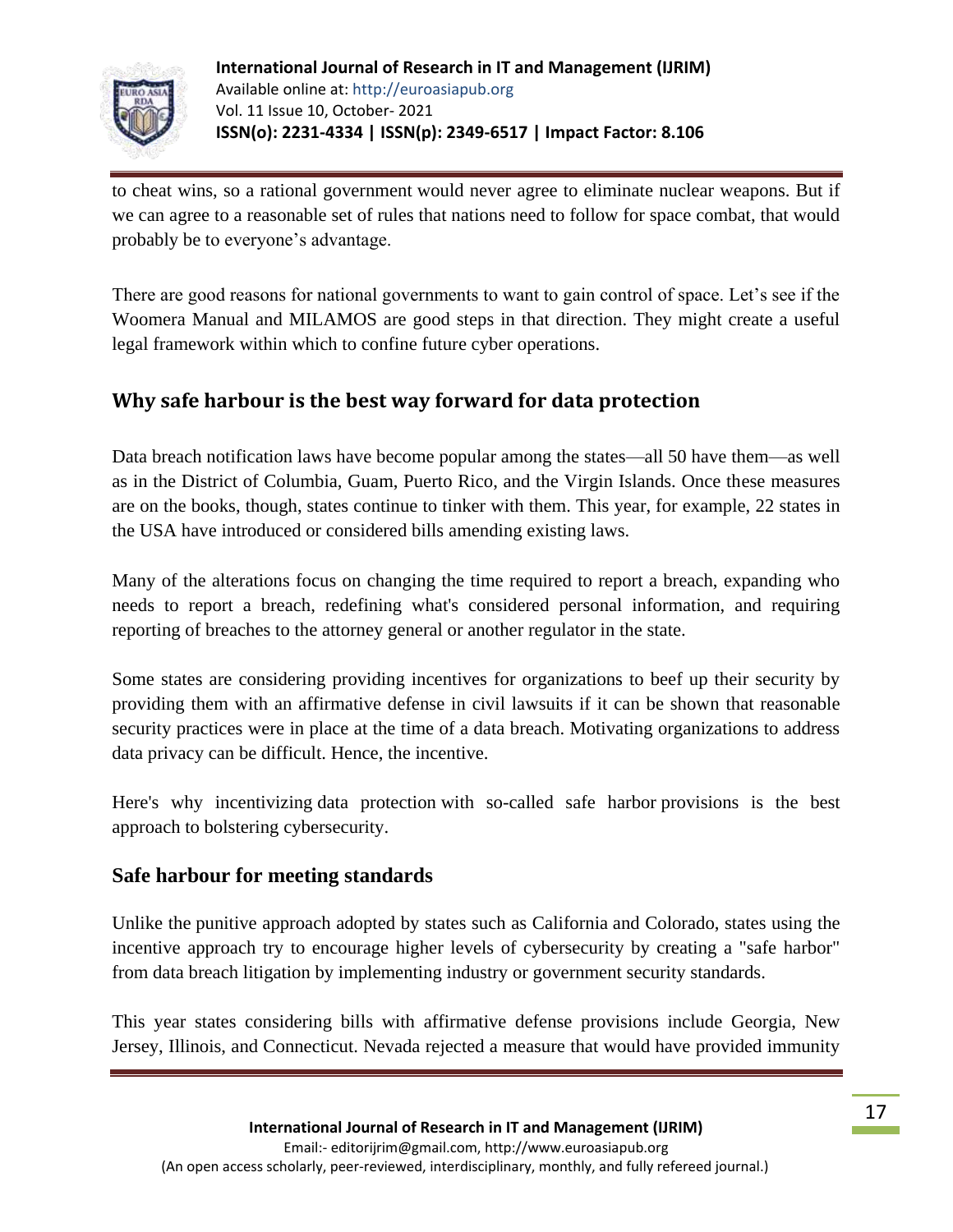

to cheat wins, so a rational government would never agree to eliminate nuclear weapons. But if we can agree to a reasonable set of rules that nations need to follow for space combat, that would probably be to everyone's advantage.

There are good reasons for national governments to want to gain control of space. Let's see if the Woomera Manual and MILAMOS are good steps in that direction. They might create a useful legal framework within which to confine future cyber operations.

# **Why safe harbour is the best way forward for data protection**

Data breach notification laws have become popular among the states—all 50 have them—as well as in the District of Columbia, Guam, Puerto Rico, and the Virgin Islands. Once these measures are on the books, though, states continue to tinker with them. This year, for example, [22 states in](https://www.ncsl.org/research/telecommunications-and-information-technology/2021-security-breach-legislation.aspx)  the [USA have introduced or considered bills](https://www.ncsl.org/research/telecommunications-and-information-technology/2021-security-breach-legislation.aspx) amending existing laws.

Many of the alterations focus on changing the time required to report a breach, expanding who needs to report a breach, redefining what's considered personal information, and requiring reporting of breaches to the attorney general or another regulator in the state.

Some states are considering providing incentives for organizations to beef up their security by providing them with an affirmative defense in civil lawsuits if it can be shown that reasonable security practices were in place at the time of a data breach. Motivating organizations to address data privacy can be difficult. Hence, the incentive.

Here's why incentivizing [data protection](https://content.microfocus.com/gdpr-ccpa-privacy-tb/privacy-laws-data-security?lx=6_RS12&utm_source=techbeacon&utm_medium=techbeacon&utm_campaign=7014J000000dVA4QAM) with so-called safe harbor provisions is the best approach to bolstering cybersecurity.

### **Safe harbour for meeting standards**

Unlike the [punitive approach adopted by states such as California](https://content.microfocus.com/gdpr-ccpa-privacy-tb/what-your-data-secur?lx=6_RS12&utm_source=techbeacon&utm_medium=techbeacon&utm_campaign=7014J000000dVA4QAM) and Colorado, states using the incentive approach try to encourage higher levels of cybersecurity by creating a "safe harbor" from data breach litigation by implementing industry or government security standards.

This year states considering bills with affirmative defense provisions include Georgia, New Jersey, Illinois, and Connecticut. Nevada rejected a measure that would have provided immunity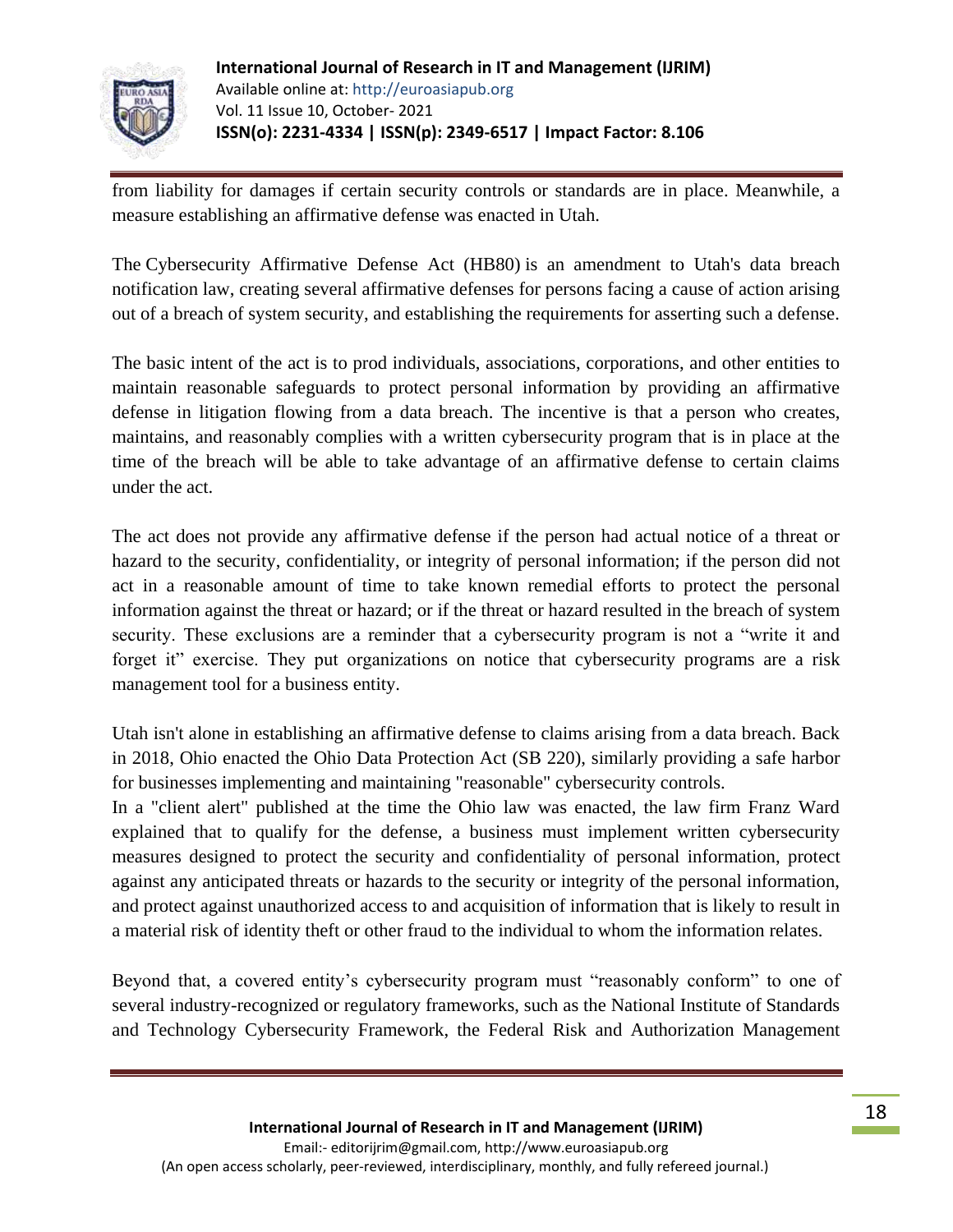

from liability for damages if certain security controls or standards are in place. Meanwhile, a measure establishing an affirmative defense was enacted in Utah.

The [Cybersecurity Affirmative Defense Act \(HB80\)](https://custom.statenet.com/public/resources.cgi?id=ID:bill:UT2021000H80&ciq=ncsl&client_md=7e8f62049145aa464b37789300586afa&mode=current_text) is an amendment to Utah's data breach notification law, creating several affirmative defenses for persons facing a cause of action arising out of a breach of system security, and establishing the requirements for asserting such a defense.

The basic intent of the act is to prod individuals, associations, corporations, and other entities to maintain reasonable safeguards to protect personal information by providing an affirmative defense in litigation flowing from a data breach. The incentive is that a person who creates, maintains, and reasonably complies with a written cybersecurity program that is in place at the time of the breach will be able to take advantage of an affirmative defense to certain claims under the act.

The act does not provide any affirmative defense if the person had actual notice of a threat or hazard to the security, confidentiality, or integrity of personal information; if the person did not act in a reasonable amount of time to take known remedial efforts to protect the personal information against the threat or hazard; or if the threat or hazard resulted in the breach of system security. These exclusions are a reminder that a cybersecurity program is not a "write it and forget it" exercise. They put organizations on notice that cybersecurity programs are a risk management tool for a business entity.

Utah isn't alone in establishing an affirmative defense to claims arising from a data breach. Back in 2018, Ohio enacted the Ohio Data Protection Act (SB 220), similarly providing a safe harbor for businesses implementing and maintaining "reasonable" cybersecurity controls.

In a ["client alert"](https://www.frantzward.com/news-blog/october-2018/ohio-provides-affirmative-defense-to-companies-mee) published at the time the Ohio law was enacted, the law firm Franz Ward explained that to qualify for the defense, a business must implement written cybersecurity measures designed to protect the security and confidentiality of personal information, protect against any anticipated threats or hazards to the security or integrity of the personal information, and protect against unauthorized access to and acquisition of information that is likely to result in a material risk of identity theft or other fraud to the individual to whom the information relates.

Beyond that, a covered entity's cybersecurity program must "reasonably conform" to one of several industry-recognized or regulatory frameworks, such as the National Institute of Standards and Technology Cybersecurity Framework, the Federal Risk and Authorization Management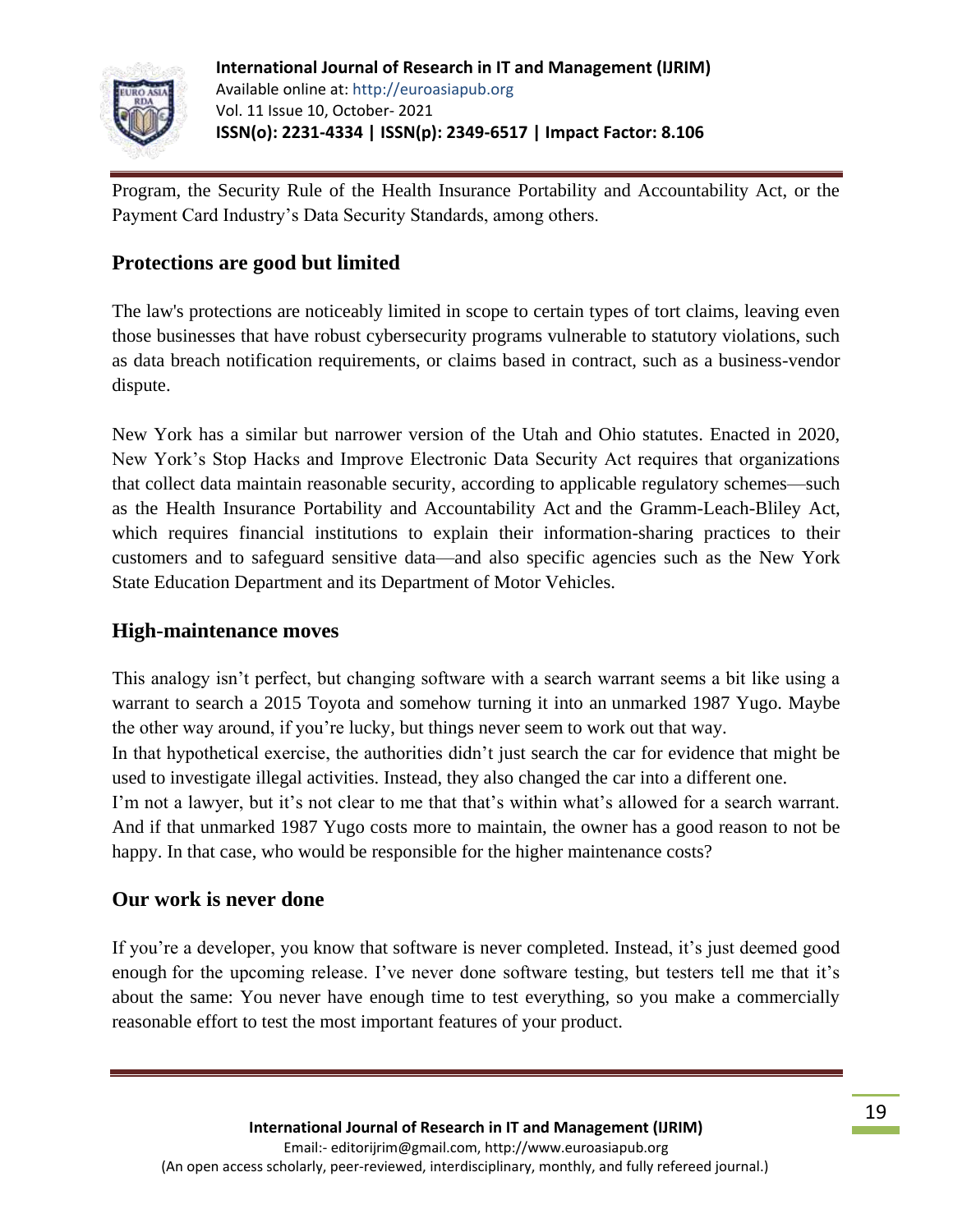

Program, the Security Rule of the Health Insurance Portability and Accountability Act, or the Payment Card Industry's Data Security Standards, among others.

### **Protections are good but limited**

The law's protections are noticeably limited in scope to certain types of tort claims, leaving even those businesses that have robust cybersecurity programs vulnerable to statutory violations, such as data breach notification requirements, or claims based in contract, such as a business-vendor dispute.

New York has a similar but narrower version of the Utah and Ohio statutes. Enacted in 2020, New York's Stop Hacks and Improve Electronic Data Security Act requires that organizations that collect data maintain reasonable security, according to applicable regulatory schemes—such as the Health Insurance Portability and Accountability Act and the Gramm-Leach-Bliley Act, which requires financial institutions to explain their information-sharing practices to their customers and to safeguard sensitive data—and also specific agencies such as the New York State Education Department and its Department of Motor Vehicles.

### **High-maintenance moves**

This analogy isn't perfect, but changing software with a search warrant seems a bit like using a warrant to search a 2015 Toyota and somehow turning it into an [unmarked 1987 Yugo.](https://www.imcdb.org/v088585.html) Maybe the other way around, if you're lucky, but things never seem to work out that way. In that hypothetical exercise, the authorities didn't just search the car for evidence that might be used to investigate illegal activities. Instead, they also changed the car into a different one. I'm not a lawyer, but it's not clear to me that that's within what's allowed for a search warrant. And if that unmarked 1987 Yugo costs more to maintain, the owner has a good reason to not be happy. In that case, who would be responsible for the higher maintenance costs?

### **Our work is never done**

If you're a developer, you know that software is never completed. Instead, it's just deemed good enough for the upcoming release. I've never done software testing, but testers tell me that it's about the same: You never have enough time to test everything, so you make a commercially reasonable effort to test the most important features of your product.